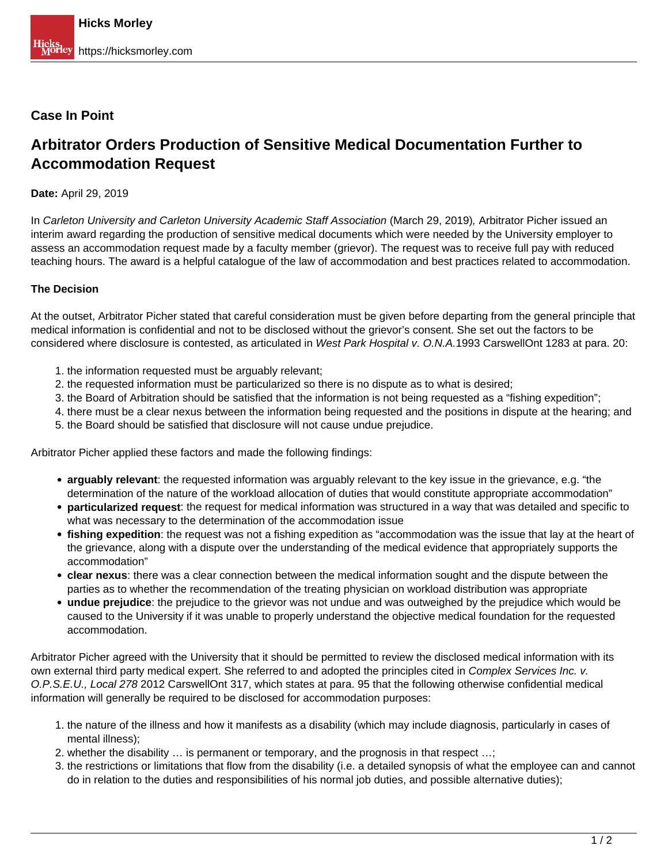# **Case In Point**

# **Arbitrator Orders Production of Sensitive Medical Documentation Further to Accommodation Request**

## **Date:** April 29, 2019

In Carleton University and Carleton University Academic Staff Association (March 29, 2019), Arbitrator Picher issued an interim award regarding the production of sensitive medical documents which were needed by the University employer to assess an accommodation request made by a faculty member (grievor). The request was to receive full pay with reduced teaching hours. The award is a helpful catalogue of the law of accommodation and best practices related to accommodation.

### **The Decision**

At the outset, Arbitrator Picher stated that careful consideration must be given before departing from the general principle that medical information is confidential and not to be disclosed without the grievor's consent. She set out the factors to be considered where disclosure is contested, as articulated in West Park Hospital v. O.N.A.1993 CarswellOnt 1283 at para. 20:

- 1. the information requested must be arguably relevant;
- 2. the requested information must be particularized so there is no dispute as to what is desired;
- 3. the Board of Arbitration should be satisfied that the information is not being requested as a "fishing expedition";
- 4. there must be a clear nexus between the information being requested and the positions in dispute at the hearing; and
- 5. the Board should be satisfied that disclosure will not cause undue prejudice.

Arbitrator Picher applied these factors and made the following findings:

- **arguably relevant**: the requested information was arguably relevant to the key issue in the grievance, e.g. "the determination of the nature of the workload allocation of duties that would constitute appropriate accommodation"
- **particularized request**: the request for medical information was structured in a way that was detailed and specific to what was necessary to the determination of the accommodation issue
- **fishing expedition**: the request was not a fishing expedition as "accommodation was the issue that lay at the heart of the grievance, along with a dispute over the understanding of the medical evidence that appropriately supports the accommodation"
- **clear nexus**: there was a clear connection between the medical information sought and the dispute between the parties as to whether the recommendation of the treating physician on workload distribution was appropriate
- **undue prejudice**: the prejudice to the grievor was not undue and was outweighed by the prejudice which would be caused to the University if it was unable to properly understand the objective medical foundation for the requested accommodation.

Arbitrator Picher agreed with the University that it should be permitted to review the disclosed medical information with its own external third party medical expert. She referred to and adopted the principles cited in Complex Services Inc. v. O.P.S.E.U., Local 278 2012 CarswellOnt 317, which states at para. 95 that the following otherwise confidential medical information will generally be required to be disclosed for accommodation purposes:

- 1. the nature of the illness and how it manifests as a disability (which may include diagnosis, particularly in cases of mental illness);
- 2. whether the disability … is permanent or temporary, and the prognosis in that respect …;
- 3. the restrictions or limitations that flow from the disability (i.e. a detailed synopsis of what the employee can and cannot do in relation to the duties and responsibilities of his normal job duties, and possible alternative duties);